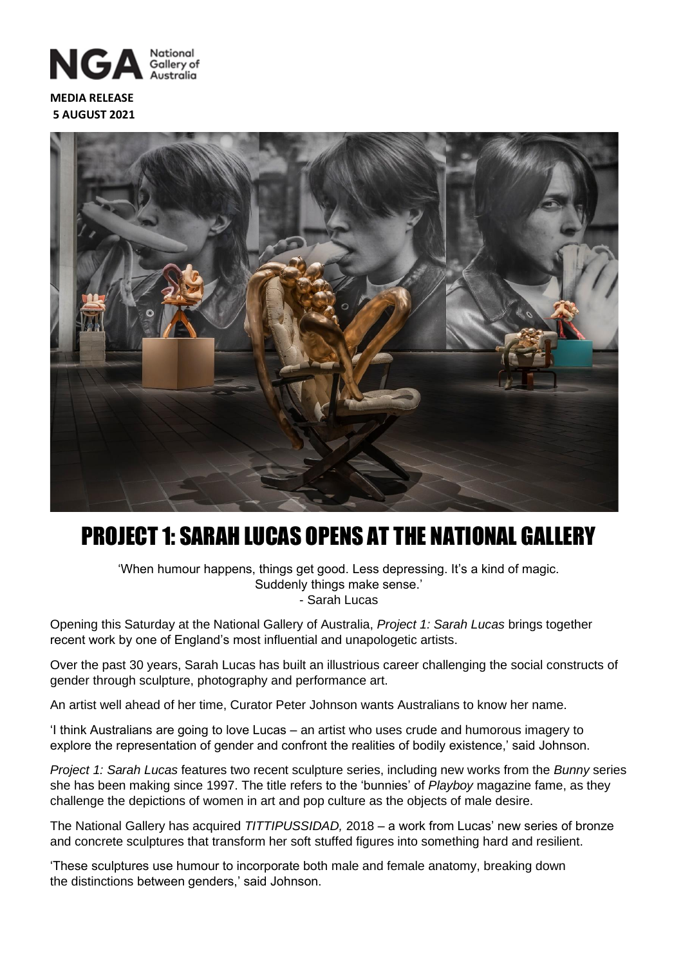

**MEDIA RELEASE 5 AUGUST 2021**



## PROJECT 1: SARAH LUCAS OPENS AT THE NATIONAL GALLERY

'When humour happens, things get good. Less depressing. It's a kind of magic. Suddenly things make sense.' - Sarah Lucas

Opening this Saturday at the National Gallery of Australia, *Project 1: Sarah Lucas* brings together recent work by one of England's most influential and unapologetic artists.

Over the past 30 years, Sarah Lucas has built an illustrious career challenging the social constructs of gender through sculpture, photography and performance art.

An artist well ahead of her time, Curator Peter Johnson wants Australians to know her name.

'I think Australians are going to love Lucas – an artist who uses crude and humorous imagery to explore the representation of gender and confront the realities of bodily existence,' said Johnson.

*Project 1: Sarah Lucas* features two recent sculpture series, including new works from the *Bunny* series she has been making since 1997. The title refers to the 'bunnies' of *Playboy* magazine fame, as they challenge the depictions of women in art and pop culture as the objects of male desire.

The National Gallery has acquired *TITTIPUSSIDAD,* 2018 – a work from Lucas' new series of bronze and concrete sculptures that transform her soft stuffed figures into something hard and resilient.

'These sculptures use humour to incorporate both male and female anatomy, breaking down the distinctions between genders,' said Johnson.